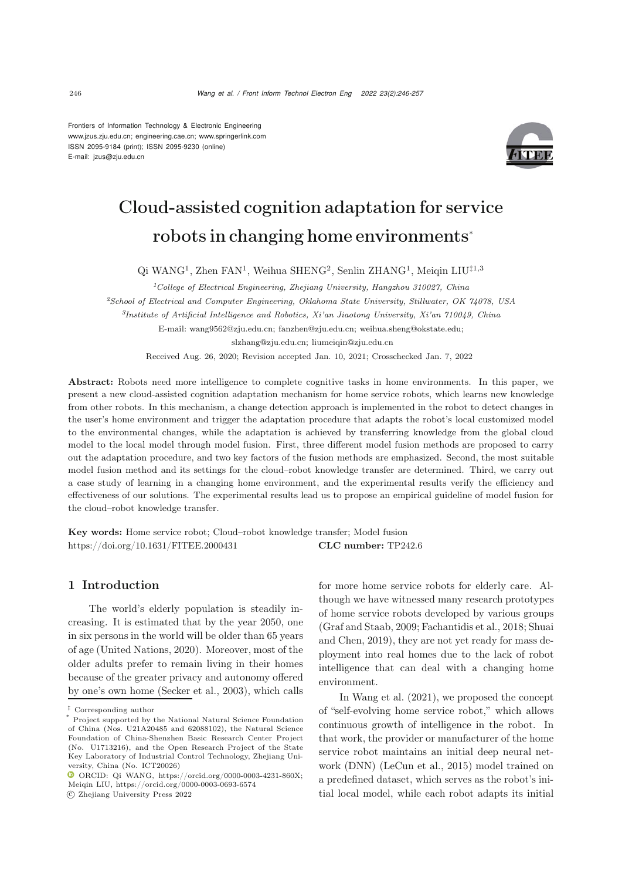Frontiers of Information Technology & Electronic Engineering [www.jzus.zju.edu.cn;](www.jzus.zju.edu.cn) [engineering.cae.cn;](engineering.cae.cn)<www.springerlink.com> ISSN 2095-9184 (print); ISSN 2095-9230 (online) E-mail: jzus@zju.edu.cn



# Cloud-assisted cognition adaptation for service robots in changing home environments<sup>∗</sup>

Qi WANG<sup>1</sup>, Zhen FAN<sup>1</sup>, Weihua SHENG<sup>2</sup>, Senlin ZHANG<sup>1</sup>, Meiqin LIU‡1,3

*<sup>1</sup>College of Electrical Engineering, Zhejiang University, Hangzhou 310027, China <sup>2</sup>School of Electrical and Computer Engineering, Oklahoma State University, Stillwater, OK 74078, USA <sup>3</sup>Institute of Artificial Intelligence and Robotics, Xi'an Jiaotong University, Xi'an 710049, China* E-mail: wang9562@zju.edu.cn; fanzhen@zju.edu.cn; weihua.sheng@okstate.edu; slzhang@zju.edu.cn; liumeiqin@zju.edu.cn Received Aug. 26, 2020; Revision accepted Jan. 10, 2021; Crosschecked Jan. 7, 2022

Abstract: Robots need more intelligence to complete cognitive tasks in home environments. In this paper, we present a new cloud-assisted cognition adaptation mechanism for home service robots, which learns new knowledge from other robots. In this mechanism, a change detection approach is implemented in the robot to detect changes in the user's home environment and trigger the adaptation procedure that adapts the robot's local customized model to the environmental changes, while the adaptation is achieved by transferring knowledge from the global cloud model to the local model through model fusion. First, three different model fusion methods are proposed to carry out the adaptation procedure, and two key factors of the fusion methods are emphasized. Second, the most suitable model fusion method and its settings for the cloud–robot knowledge transfer are determined. Third, we carry out a case study of learning in a changing home environment, and the experimental results verify the efficiency and effectiveness of our solutions. The experimental results lead us to propose an empirical guideline of model fusion for the cloud–robot knowledge transfer.

Key words: Home service robot; Cloud–robot knowledge transfer; Model fusion https://doi.org/10.1631/FITEE.2000431 **CLC number:** TP242.6

## 1 Introduction

The world's elderly population is steadily increasing. It is estimated that by the year 2050, one in six persons in the world will be older than 65 years of age [\(United Nations, 2020\)](#page-11-0). Moreover, most of the older adults prefer to remain living in their homes because of the greater privacy and autonomy offered by one's own home [\(Secker et al.](#page-11-1), [2003](#page-11-1)), which calls

c Zhejiang University Press 2022

for more home service robots for elderly care. Although we have witnessed many research prototypes of home service robots developed by various groups [\(Graf and Staab](#page-10-0)[,](#page-11-2) [2009](#page-10-0)[;](#page-11-2) [Fachantidis et al.](#page-10-1)[,](#page-11-2) [2018](#page-10-1)[;](#page-11-2) Shuai and Chen, [2019\)](#page-11-2), they are not yet ready for mass deployment into real homes due to the lack of robot intelligence that can deal with a changing home environment.

In [Wang et al.](#page-11-3) [\(2021\)](#page-11-3), we proposed the concept of "self-evolving home service robot," which allows continuous growth of intelligence in the robot. In that work, the provider or manufacturer of the home service robot maintains an initial deep neural network (DNN) [\(LeCun et al., 2015](#page-11-4)) model trained on a predefined dataset, which serves as the robot's initial local model, while each robot adapts its initial

 $^\ddag$  Corresponding author

Project supported by the National Natural Science Foundation of China (Nos. U21A20485 and 62088102), the Natural Science Foundation of China-Shenzhen Basic Research Center Project (No. U1713216), and the Open Research Project of the State Key Laboratory of Industrial Control Technology, Zhejiang University, China (No. ICT20026)

ORCID: Qi WANG, https://orcid.org/0000-0003-4231-860X; Meiqin LIU, https://orcid.org/0000-0003-0693-6574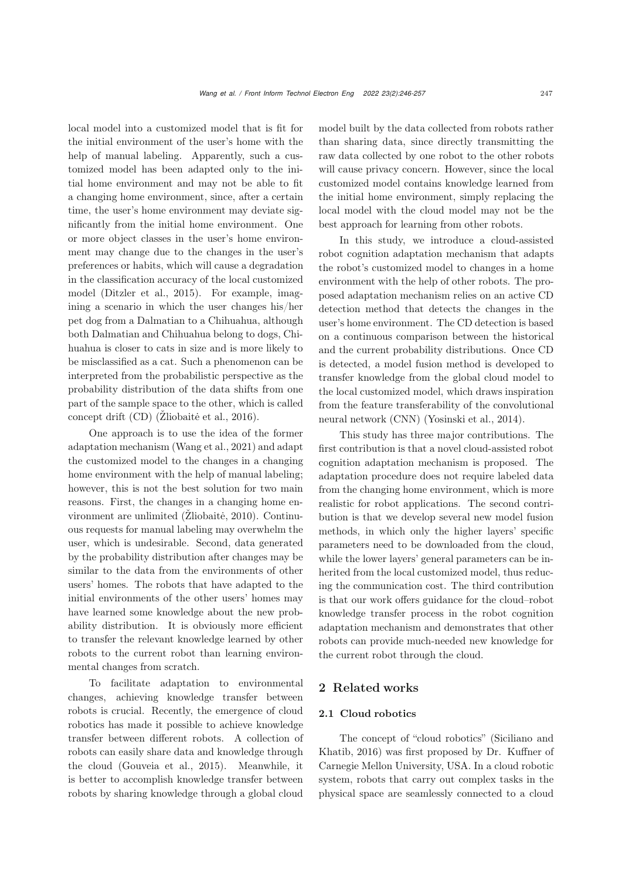local model into a customized model that is fit for the initial environment of the user's home with the help of manual labeling. Apparently, such a customized model has been adapted only to the initial home environment and may not be able to fit a changing home environment, since, after a certain time, the user's home environment may deviate significantly from the initial home environment. One or more object classes in the user's home environment may change due to the changes in the user's preferences or habits, which will cause a degradation in the classification accuracy of the local customized model [\(Ditzler et al., 2015](#page-10-2)). For example, imagining a scenario in which the user changes his/her pet dog from a Dalmatian to a Chihuahua, although both Dalmatian and Chihuahua belong to dogs, Chihuahua is closer to cats in size and is more likely to be misclassified as a cat. Such a phenomenon can be interpreted from the probabilistic perspective as the probability distribution of the data shifts from one part of the sample space to the other, which is called concept drift  $(CD)$  (Žliobaitė et al., 2016).

One approach is to use the idea of the former adaptation mechanism [\(Wang et al.](#page-11-3), [2021](#page-11-3)) and adapt the customized model to the changes in a changing home environment with the help of manual labeling; however, this is not the best solution for two main reasons. First, the changes in a changing home environment are unlimited  $(Zliobaitė, 2010)$ . Continuous requests for manual labeling may overwhelm the user, which is undesirable. Second, data generated by the probability distribution after changes may be similar to the data from the environments of other users' homes. The robots that have adapted to the initial environments of the other users' homes may have learned some knowledge about the new probability distribution. It is obviously more efficient to transfer the relevant knowledge learned by other robots to the current robot than learning environmental changes from scratch.

To facilitate adaptation to environmental changes, achieving knowledge transfer between robots is crucial. Recently, the emergence of cloud robotics has made it possible to achieve knowledge transfer between different robots. A collection of robots can easily share data and knowledge through the cloud [\(Gouveia et al.](#page-10-3), [2015](#page-10-3)). Meanwhile, it is better to accomplish knowledge transfer between robots by sharing knowledge through a global cloud

model built by the data collected from robots rather than sharing data, since directly transmitting the raw data collected by one robot to the other robots will cause privacy concern. However, since the local customized model contains knowledge learned from the initial home environment, simply replacing the local model with the cloud model may not be the best approach for learning from other robots.

In this study, we introduce a cloud-assisted robot cognition adaptation mechanism that adapts the robot's customized model to changes in a home environment with the help of other robots. The proposed adaptation mechanism relies on an active CD detection method that detects the changes in the user's home environment. The CD detection is based on a continuous comparison between the historical and the current probability distributions. Once CD is detected, a model fusion method is developed to transfer knowledge from the global cloud model to the local customized model, which draws inspiration from the feature transferability of the convolutional neural network (CNN) [\(Yosinski et al.](#page-11-7), [2014](#page-11-7)).

This study has three major contributions. The first contribution is that a novel cloud-assisted robot cognition adaptation mechanism is proposed. The adaptation procedure does not require labeled data from the changing home environment, which is more realistic for robot applications. The second contribution is that we develop several new model fusion methods, in which only the higher layers' specific parameters need to be downloaded from the cloud, while the lower layers' general parameters can be inherited from the local customized model, thus reducing the communication cost. The third contribution is that our work offers guidance for the cloud–robot knowledge transfer process in the robot cognition adaptation mechanism and demonstrates that other robots can provide much-needed new knowledge for the current robot through the cloud.

# 2 Related works

## 2.1 Cloud robotics

T[he](#page-11-8) [concept](#page-11-8) [of](#page-11-8) ["cloud](#page-11-8) [robotics"](#page-11-8) [\(](#page-11-8)Siciliano and Khatib, [2016\)](#page-11-8) was first proposed by Dr. Kuffner of Carnegie Mellon University, USA. In a cloud robotic system, robots that carry out complex tasks in the physical space are seamlessly connected to a cloud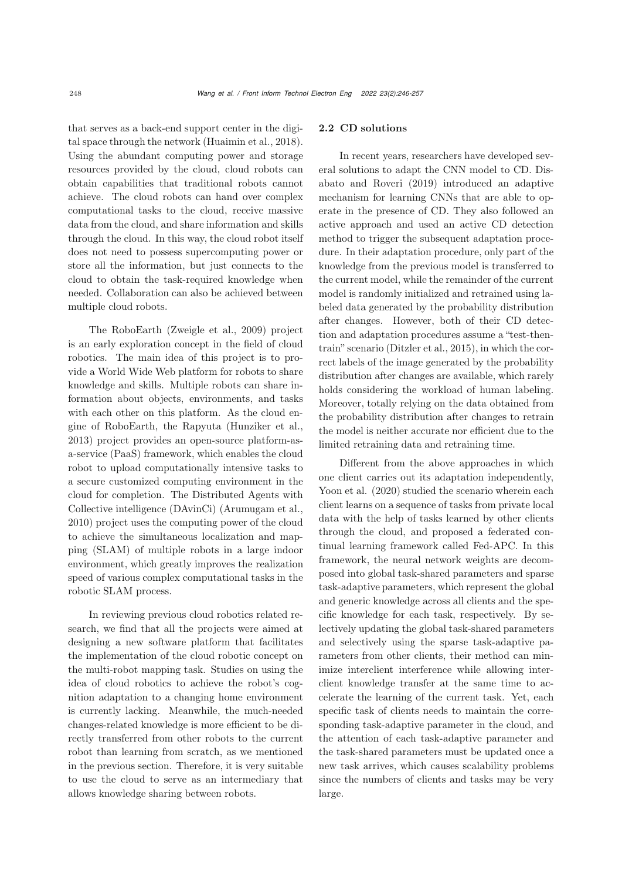that serves as a back-end support center in the digital space through the network [\(Huaimin et al., 2018\)](#page-10-4). Using the abundant computing power and storage resources provided by the cloud, cloud robots can obtain capabilities that traditional robots cannot achieve. The cloud robots can hand over complex computational tasks to the cloud, receive massive data from the cloud, and share information and skills through the cloud. In this way, the cloud robot itself does not need to possess supercomputing power or store all the information, but just connects to the cloud to obtain the task-required knowledge when needed. Collaboration can also be achieved between multiple cloud robots.

The RoboEarth [\(Zweigle et al., 2009](#page-11-9)) project is an early exploration concept in the field of cloud robotics. The main idea of this project is to provide a World Wide Web platform for robots to share knowledge and skills. Multiple robots can share information about objects, environments, and tasks with each other on this platform. As the cloud engine of RoboEarth, the Rapyuta [\(Hunziker et al.](#page-10-5), [2013](#page-10-5)) project provides an open-source platform-asa-service (PaaS) framework, which enables the cloud robot to upload computationally intensive tasks to a secure customized computing environment in the cloud for completion. The Distributed Agents with Collective intelligence (DAvinCi) [\(Arumugam et al.](#page-10-6), [2010](#page-10-6)) project uses the computing power of the cloud to achieve the simultaneous localization and mapping (SLAM) of multiple robots in a large indoor environment, which greatly improves the realization speed of various complex computational tasks in the robotic SLAM process.

In reviewing previous cloud robotics related research, we find that all the projects were aimed at designing a new software platform that facilitates the implementation of the cloud robotic concept on the multi-robot mapping task. Studies on using the idea of cloud robotics to achieve the robot's cognition adaptation to a changing home environment is currently lacking. Meanwhile, the much-needed changes-related knowledge is more efficient to be directly transferred from other robots to the current robot than learning from scratch, as we mentioned in the previous section. Therefore, it is very suitable to use the cloud to serve as an intermediary that allows knowledge sharing between robots.

## 2.2 CD solutions

In recent years, researchers have developed several solutions to adapt the CNN model to CD. Disabato and Roveri (2019) introduced an adaptive mechanism for learning CNNs that are able to operate in the presence of CD. They also followed an active approach and used an active CD detection method to trigger the subsequent adaptation procedure. In their adaptation procedure, only part of the knowledge from the previous model is transferred to the current model, while the remainder of the current model is randomly initialized and retrained using labeled data generated by the probability distribution after changes. However, both of their CD detection and adaptation procedures assume a "test-thentrain" scenario [\(Ditzler et al.](#page-10-2), [2015](#page-10-2)), in which the correct labels of the image generated by the probability distribution after changes are available, which rarely holds considering the workload of human labeling. Moreover, totally relying on the data obtained from the probability distribution after changes to retrain the model is neither accurate nor efficient due to the limited retraining data and retraining time.

Different from the above approaches in which one client carries out its adaptation independently, Yoon et al. (2020) studied the scenario wherein each client learns on a sequence of tasks from private local data with the help of tasks learned by other clients through the cloud, and proposed a federated continual learning framework called Fed-APC. In this framework, the neural network weights are decomposed into global task-shared parameters and sparse task-adaptive parameters, which represent the global and generic knowledge across all clients and the specific knowledge for each task, respectively. By selectively updating the global task-shared parameters and selectively using the sparse task-adaptive parameters from other clients, their method can minimize interclient interference while allowing interclient knowledge transfer at the same time to accelerate the learning of the current task. Yet, each specific task of clients needs to maintain the corresponding task-adaptive parameter in the cloud, and the attention of each task-adaptive parameter and the task-shared parameters must be updated once a new task arrives, which causes scalability problems since the numbers of clients and tasks may be very large.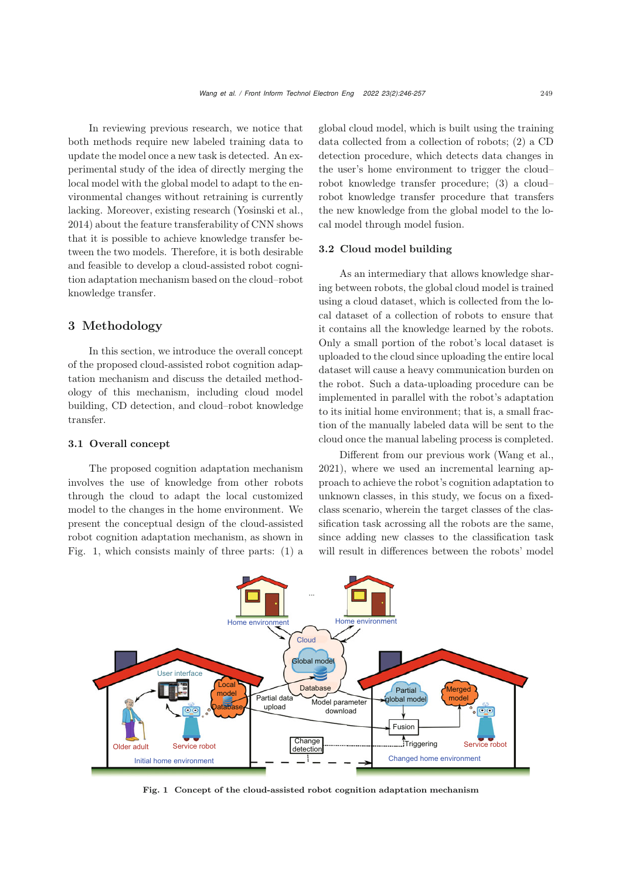In reviewing previous research, we notice that both methods require new labeled training data to update the model once a new task is detected. An experimental study of the idea of directly merging the local model with the global model to adapt to the environmental changes without retraining is currently lacking. Moreover, existing research [\(Yosinski et al.](#page-11-7), [2014](#page-11-7)) about the feature transferability of CNN shows that it is possible to achieve knowledge transfer between the two models. Therefore, it is both desirable and feasible to develop a cloud-assisted robot cognition adaptation mechanism based on the cloud–robot knowledge transfer.

# 3 Methodology

In this section, we introduce the overall concept of the proposed cloud-assisted robot cognition adaptation mechanism and discuss the detailed methodology of this mechanism, including cloud model building, CD detection, and cloud–robot knowledge transfer.

## 3.1 Overall concept

The proposed cognition adaptation mechanism involves the use of knowledge from other robots through the cloud to adapt the local customized model to the changes in the home environment. We present the conceptual design of the cloud-assisted robot cognition adaptation mechanism, as shown in Fig. 1, which consists mainly of three parts: (1) a

global cloud model, which is built using the training data collected from a collection of robots; (2) a CD detection procedure, which detects data changes in the user's home environment to trigger the cloud– robot knowledge transfer procedure; (3) a cloud– robot knowledge transfer procedure that transfers the new knowledge from the global model to the local model through model fusion.

## 3.2 Cloud model building

As an intermediary that allows knowledge sharing between robots, the global cloud model is trained using a cloud dataset, which is collected from the local dataset of a collection of robots to ensure that it contains all the knowledge learned by the robots. Only a small portion of the robot's local dataset is uploaded to the cloud since uploading the entire local dataset will cause a heavy communication burden on the robot. Such a data-uploading procedure can be implemented in parallel with the robot's adaptation to its initial home environment; that is, a small fraction of the manually labeled data will be sent to the cloud once the manual labeling process is completed.

Different from our previous work [\(Wang et al.](#page-11-3), [2021](#page-11-3)), where we used an incremental learning approach to achieve the robot's cognition adaptation to unknown classes, in this study, we focus on a fixedclass scenario, wherein the target classes of the classification task acrossing all the robots are the same, since adding new classes to the classification task will result in differences between the robots' model



Fig. 1 Concept of the cloud-assisted robot cognition adaptation mechanism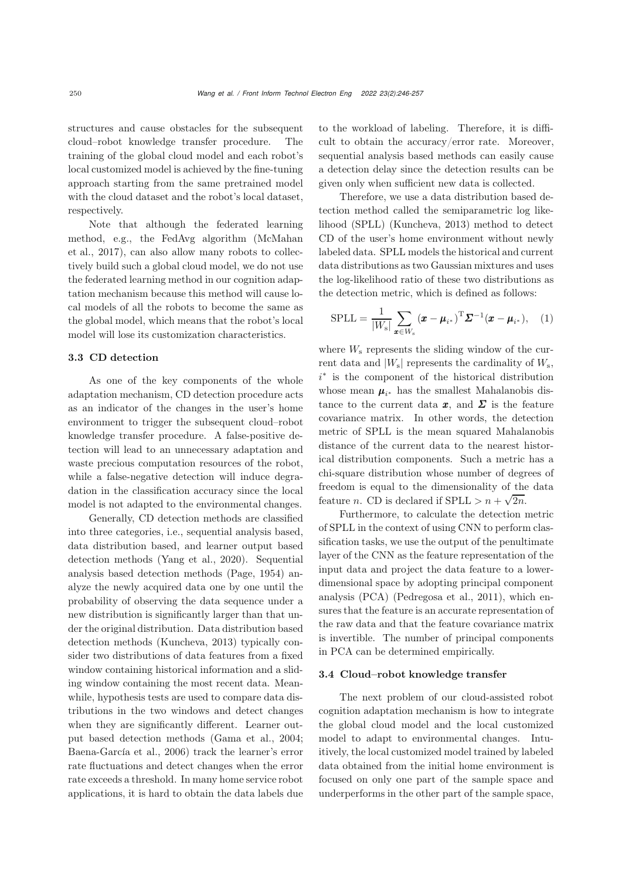structures and cause obstacles for the subsequent cloud–robot knowledge transfer procedure. The training of the global cloud model and each robot's local customized model is achieved by the fine-tuning approach starting from the same pretrained model with the cloud dataset and the robot's local dataset, respectively.

Note that although the federated learning method, e.g., the FedAvg algorithm (McMahan et al., 2017), can also allow many robots to collectively build such a global cloud model, we do not use the federated learning method in our cognition adaptation mechanism because this method will cause local models of all the robots to become the same as the global model, which means that the robot's local model will lose its customization characteristics.

#### 3.3 CD detection

As one of the key components of the whole adaptation mechanism, CD detection procedure acts as an indicator of the changes in the user's home environment to trigger the subsequent cloud–robot knowledge transfer procedure. A false-positive detection will lead to an unnecessary adaptation and waste precious computation resources of the robot, while a false-negative detection will induce degradation in the classification accuracy since the local model is not adapted to the environmental changes.

Generally, CD detection methods are classified into three categories, i.e., sequential analysis based, data distribution based, and learner output based detection methods [\(Yang et al., 2020\)](#page-11-10). Sequential analysis based detection methods [\(Page, 1954\)](#page-11-11) analyze the newly acquired data one by one until the probability of observing the data sequence under a new distribution is significantly larger than that under the original distribution. Data distribution based detection methods [\(Kuncheva](#page-10-7), [2013](#page-10-7)) typically consider two distributions of data features from a fixed window containing historical information and a sliding window containing the most recent data. Meanwhile, hypothesis tests are used to compare data distributions in the two windows and detect changes when they are significantly different. Learner output based detection methods [\(Gama et al., 2004;](#page-10-8) [Baena-García et al., 2006\)](#page-10-9) track the learner's error rate fluctuations and detect changes when the error rate exceeds a threshold. In many home service robot applications, it is hard to obtain the data labels due

to the workload of labeling. Therefore, it is difficult to obtain the accuracy/error rate. Moreover, sequential analysis based methods can easily cause a detection delay since the detection results can be given only when sufficient new data is collected.

Therefore, we use a data distribution based detection method called the semiparametric log likelihood (SPLL) [\(Kuncheva](#page-10-7), [2013](#page-10-7)) method to detect CD of the user's home environment without newly labeled data. SPLL models the historical and current data distributions as two Gaussian mixtures and uses the log-likelihood ratio of these two distributions as the detection metric, which is defined as follows:

$$
SPLL = \frac{1}{|W_s|} \sum_{\boldsymbol{x} \in W_s} (\boldsymbol{x} - \boldsymbol{\mu}_{i^*})^{\mathrm{T}} \boldsymbol{\Sigma}^{-1} (\boldsymbol{x} - \boldsymbol{\mu}_{i^*}), \quad (1)
$$

where  $W_s$  represents the sliding window of the current data and  $|W_s|$  represents the cardinality of  $W_s$ , i <sup>∗</sup> is the component of the historical distribution whose mean  $\mu_{i*}$  has the smallest Mahalanobis distance to the current data  $x$ , and  $\Sigma$  is the feature covariance matrix. In other words, the detection metric of SPLL is the mean squared Mahalanobis distance of the current data to the nearest historical distribution components. Such a metric has a chi-square distribution whose number of degrees of freedom is equal to the dimensionality of the data feature n. CD is declared if  $SPLL > n + \sqrt{2n}$ .

Furthermore, to calculate the detection metric of SPLL in the context of using CNN to perform classification tasks, we use the output of the penultimate layer of the CNN as the feature representation of the input data and project the data feature to a lowerdimensional space by adopting principal component analysis (PCA) [\(Pedregosa et al.](#page-11-12), [2011](#page-11-12)), which ensures that the feature is an accurate representation of the raw data and that the feature covariance matrix is invertible. The number of principal components in PCA can be determined empirically.

#### 3.4 Cloud–robot knowledge transfer

The next problem of our cloud-assisted robot cognition adaptation mechanism is how to integrate the global cloud model and the local customized model to adapt to environmental changes. Intuitively, the local customized model trained by labeled data obtained from the initial home environment is focused on only one part of the sample space and underperforms in the other part of the sample space,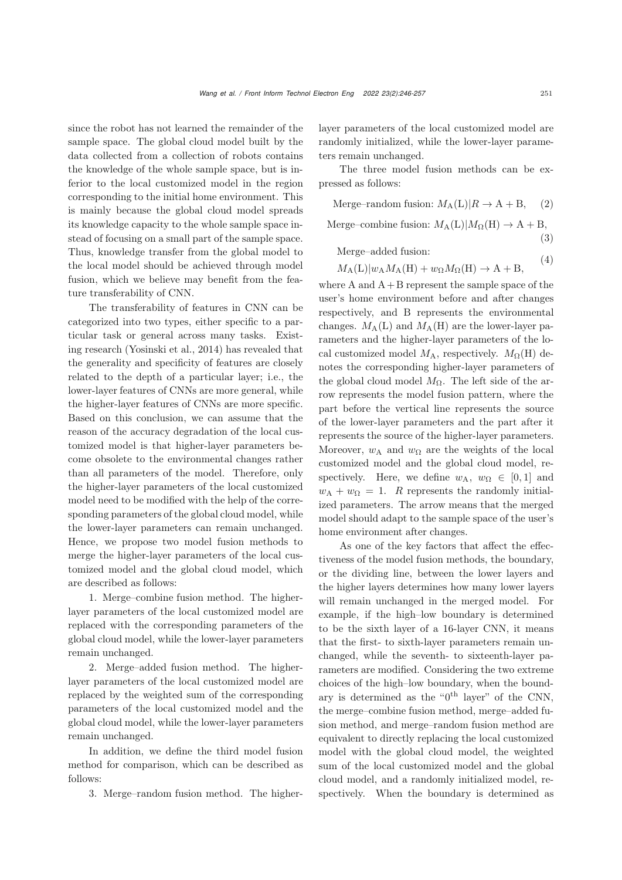since the robot has not learned the remainder of the sample space. The global cloud model built by the data collected from a collection of robots contains the knowledge of the whole sample space, but is inferior to the local customized model in the region corresponding to the initial home environment. This is mainly because the global cloud model spreads its knowledge capacity to the whole sample space instead of focusing on a small part of the sample space. Thus, knowledge transfer from the global model to the local model should be achieved through model fusion, which we believe may benefit from the feature transferability of CNN.

The transferability of features in CNN can be categorized into two types, either specific to a particular task or general across many tasks. Existing research [\(Yosinski et al., 2014\)](#page-11-7) has revealed that the generality and specificity of features are closely related to the depth of a particular layer; i.e., the lower-layer features of CNNs are more general, while the higher-layer features of CNNs are more specific. Based on this conclusion, we can assume that the reason of the accuracy degradation of the local customized model is that higher-layer parameters become obsolete to the environmental changes rather than all parameters of the model. Therefore, only the higher-layer parameters of the local customized model need to be modified with the help of the corresponding parameters of the global cloud model, while the lower-layer parameters can remain unchanged. Hence, we propose two model fusion methods to merge the higher-layer parameters of the local customized model and the global cloud model, which are described as follows:

1. Merge–combine fusion method. The higherlayer parameters of the local customized model are replaced with the corresponding parameters of the global cloud model, while the lower-layer parameters remain unchanged.

2. Merge–added fusion method. The higherlayer parameters of the local customized model are replaced by the weighted sum of the corresponding parameters of the local customized model and the global cloud model, while the lower-layer parameters remain unchanged.

In addition, we define the third model fusion method for comparison, which can be described as follows:

3. Merge–random fusion method. The higher-

layer parameters of the local customized model are randomly initialized, while the lower-layer parameters remain unchanged.

The three model fusion methods can be expressed as follows:

Merge–random fusion:  $M_A(L)|R \to A + B$ , (2)

Merge–combine fusion:  $M_A(L)|M_\Omega(H) \to A + B$ ,

Merge–added fusion:

$$
M_{A}(L)|w_{A}M_{A}(H) + w_{\Omega}M_{\Omega}(H) \to A + B,
$$
 (4)

where  $A$  and  $A + B$  represent the sample space of the user's home environment before and after changes respectively, and B represents the environmental changes.  $M_A(L)$  and  $M_A(H)$  are the lower-layer parameters and the higher-layer parameters of the local customized model  $M_A$ , respectively.  $M_{\Omega}(\text{H})$  denotes the corresponding higher-layer parameters of the global cloud model  $M_{\Omega}$ . The left side of the arrow represents the model fusion pattern, where the part before the vertical line represents the source of the lower-layer parameters and the part after it represents the source of the higher-layer parameters. Moreover,  $w_A$  and  $w_\Omega$  are the weights of the local customized model and the global cloud model, respectively. Here, we define  $w_A$ ,  $w_{\Omega} \in [0,1]$  and  $w_A + w_\Omega = 1$ . R represents the randomly initialized parameters. The arrow means that the merged model should adapt to the sample space of the user's home environment after changes.

As one of the key factors that affect the effectiveness of the model fusion methods, the boundary, or the dividing line, between the lower layers and the higher layers determines how many lower layers will remain unchanged in the merged model. For example, if the high–low boundary is determined to be the sixth layer of a 16-layer CNN, it means that the first- to sixth-layer parameters remain unchanged, while the seventh- to sixteenth-layer parameters are modified. Considering the two extreme choices of the high–low boundary, when the boundary is determined as the " $0^{th}$  layer" of the CNN, the merge–combine fusion method, merge–added fusion method, and merge–random fusion method are equivalent to directly replacing the local customized model with the global cloud model, the weighted sum of the local customized model and the global cloud model, and a randomly initialized model, respectively. When the boundary is determined as

(3)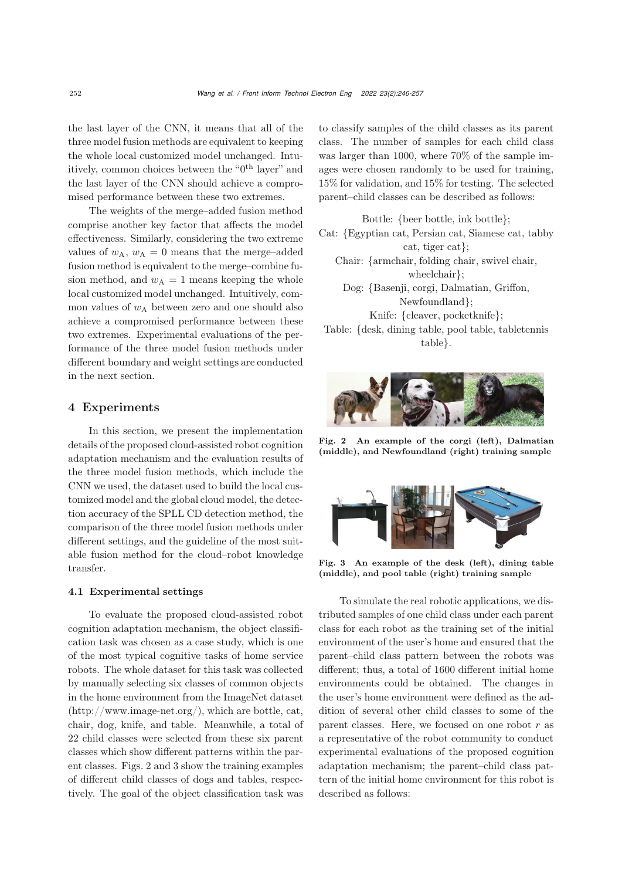the last layer of the CNN, it means that all of the three model fusion methods are equivalent to keeping the whole local customized model unchanged. Intuitively, common choices between the " $0<sup>th</sup>$  layer" and the last layer of the CNN should achieve a compromised performance between these two extremes.

The weights of the merge–added fusion method comprise another key factor that affects the model effectiveness. Similarly, considering the two extreme values of  $w_A$ ,  $w_A = 0$  means that the merge–added fusion method is equivalent to the merge–combine fusion method, and  $w_A = 1$  means keeping the whole local customized model unchanged. Intuitively, common values of  $w_A$  between zero and one should also achieve a compromised performance between these two extremes. Experimental evaluations of the performance of the three model fusion methods under different boundary and weight settings are conducted in the next section.

# 4 Experiments

In this section, we present the implementation details of the proposed cloud-assisted robot cognition adaptation mechanism and the evaluation results of the three model fusion methods, which include the CNN we used, the dataset used to build the local customized model and the global cloud model, the detection accuracy of the SPLL CD detection method, the comparison of the three model fusion methods under different settings, and the guideline of the most suitable fusion method for the cloud–robot knowledge transfer.

### 4.1 Experimental settings

To evaluate the proposed cloud-assisted robot cognition adaptation mechanism, the object classification task was chosen as a case study, which is one of the most typical cognitive tasks of home service robots. The whole dataset for this task was collected by manually selecting six classes of common objects in the home environment from the ImageNet dataset (http://www.image-net.org/), which are bottle, cat, chair, dog, knife, and table. Meanwhile, a total of 22 child classes were selected from these six parent classes which show different patterns within the parent classes. Figs. [2](#page-6-0) and [3](#page-6-1) show the training examples of different child classes of dogs and tables, respectively. The goal of the object classification task was

to classify samples of the child classes as its parent class. The number of samples for each child class was larger than 1000, where 70% of the sample images were chosen randomly to be used for training, 15% for validation, and 15% for testing. The selected parent–child classes can be described as follows:

Bottle: {beer bottle, ink bottle}; Cat: {Egyptian cat, Persian cat, Siamese cat, tabby cat, tiger cat}; Chair: {armchair, folding chair, swivel chair, wheelchair}; Dog: {Basenji, corgi, Dalmatian, Griffon, Newfoundland}; Knife: {cleaver, pocketknife}; Table: {desk, dining table, pool table, tabletennis table}.



Fig. 2 An example of the corgi (left), Dalmatian (middle), and Newfoundland (right) training sample

<span id="page-6-0"></span>

Fig. 3 An example of the desk (left), dining table (middle), and pool table (right) training sample

<span id="page-6-1"></span>To simulate the real robotic applications, we distributed samples of one child class under each parent class for each robot as the training set of the initial environment of the user's home and ensured that the parent–child class pattern between the robots was different; thus, a total of 1600 different initial home environments could be obtained. The changes in the user's home environment were defined as the addition of several other child classes to some of the parent classes. Here, we focused on one robot  $r$  as a representative of the robot community to conduct experimental evaluations of the proposed cognition adaptation mechanism; the parent–child class pattern of the initial home environment for this robot is described as follows: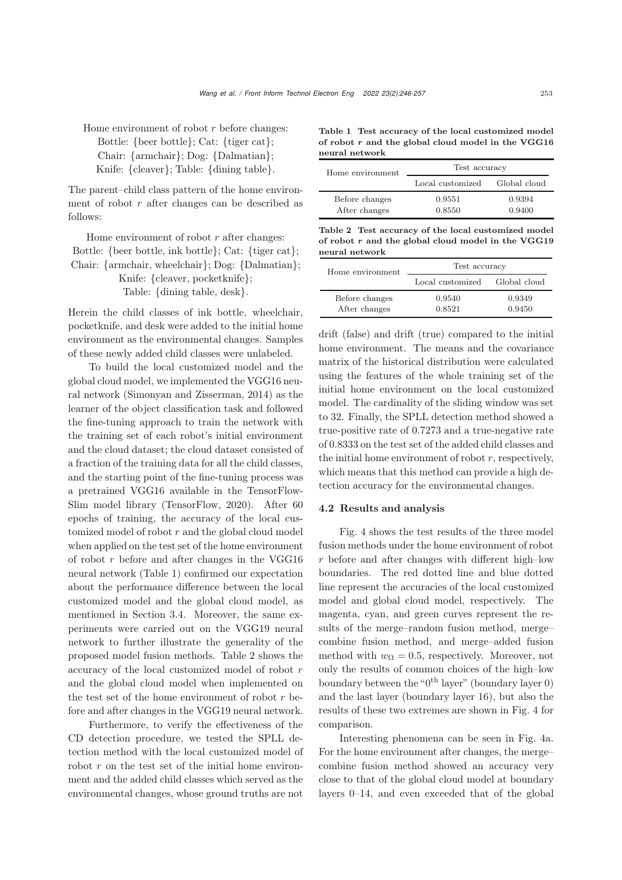Home environment of robot  $r$  before changes: Bottle: {beer bottle}; Cat: {tiger cat}; Chair: {armchair}; Dog: {Dalmatian}; Knife: {cleaver}; Table: {dining table}.

The parent–child class pattern of the home environment of robot  $r$  after changes can be described as follows:

Home environment of robot  $r$  after changes: Bottle: {beer bottle, ink bottle}; Cat: {tiger cat}; Chair: {armchair, wheelchair}; Dog: {Dalmatian}; Knife: {cleaver, pocketknife}; Table: {dining table, desk}.

Herein the child classes of ink bottle, wheelchair, pocketknife, and desk were added to the initial home environment as the environmental changes. Samples of these newly added child classes were unlabeled.

To build the local customized model and the global cloud model, we implemented the VGG16 neural network [\(Simonyan and Zisserman](#page-11-13), [2014](#page-11-13)) as the learner of the object classification task and followed the fine-tuning approach to train the network with the training set of each robot's initial environment and the cloud dataset; the cloud dataset consisted of a fraction of the training data for all the child classes, and the starting point of the fine-tuning process was a pretrained VGG16 available in the TensorFlow-Slim model library [\(TensorFlow, 2020\)](#page-11-14). After 60 epochs of training, the accuracy of the local customized model of robot  $r$  and the global cloud model when applied on the test set of the home environment of robot r before and after changes in the VGG16 neural network (Table 1) confirmed our expectation about the performance difference between the local customized model and the global cloud model, as mentioned in Section 3.4. Moreover, the same experiments were carried out on the VGG19 neural network to further illustrate the generality of the proposed model fusion methods. Table 2 shows the accuracy of the local customized model of robot r and the global cloud model when implemented on the test set of the home environment of robot  $r$  before and after changes in the VGG19 neural network.

Furthermore, to verify the effectiveness of the CD detection procedure, we tested the SPLL detection method with the local customized model of robot  $r$  on the test set of the initial home environment and the added child classes which served as the environmental changes, whose ground truths are not

Table 1 Test accuracy of the local customized model of robot *r* and the global cloud model in the VGG16 neural network

| Home environment                | Test accuracy                 |                  |
|---------------------------------|-------------------------------|------------------|
|                                 | Local customized Global cloud |                  |
| Before changes<br>After changes | 0.9551<br>0.8550              | 0.9394<br>0.9400 |

Table 2 Test accuracy of the local customized model of robot *r* and the global cloud model in the VGG19 neural network

| Home environment                | Test accuracy                 |                  |
|---------------------------------|-------------------------------|------------------|
|                                 | Local customized Global cloud |                  |
| Before changes<br>After changes | 0.9540<br>0.8521              | 0.9349<br>0.9450 |

drift (false) and drift (true) compared to the initial home environment. The means and the covariance matrix of the historical distribution were calculated using the features of the whole training set of the initial home environment on the local customized model. The cardinality of the sliding window was set to 32. Finally, the SPLL detection method showed a true-positive rate of 0.7273 and a true-negative rate of 0.8333 on the test set of the added child classes and the initial home environment of robot  $r$ , respectively, which means that this method can provide a high detection accuracy for the environmental changes.

#### 4.2 Results and analysis

Fig. [4](#page-8-0) shows the test results of the three model fusion methods under the home environment of robot  $r$  before and after changes with different high–low boundaries. The red dotted line and blue dotted line represent the accuracies of the local customized model and global cloud model, respectively. The magenta, cyan, and green curves represent the results of the merge–random fusion method, merge– combine fusion method, and merge–added fusion method with  $w_{\Omega} = 0.5$ , respectively. Moreover, not only the results of common choices of the high–low boundary between the " $0<sup>th</sup>$  layer" (boundary layer 0) and the last layer (boundary layer 16), but also the results of these two extremes are shown in Fig. [4](#page-8-0) for comparison.

Interesting phenomena can be seen in Fig. 4a. For the home environment after changes, the merge– combine fusion method showed an accuracy very close to that of the global cloud model at boundary layers 0–14, and even exceeded that of the global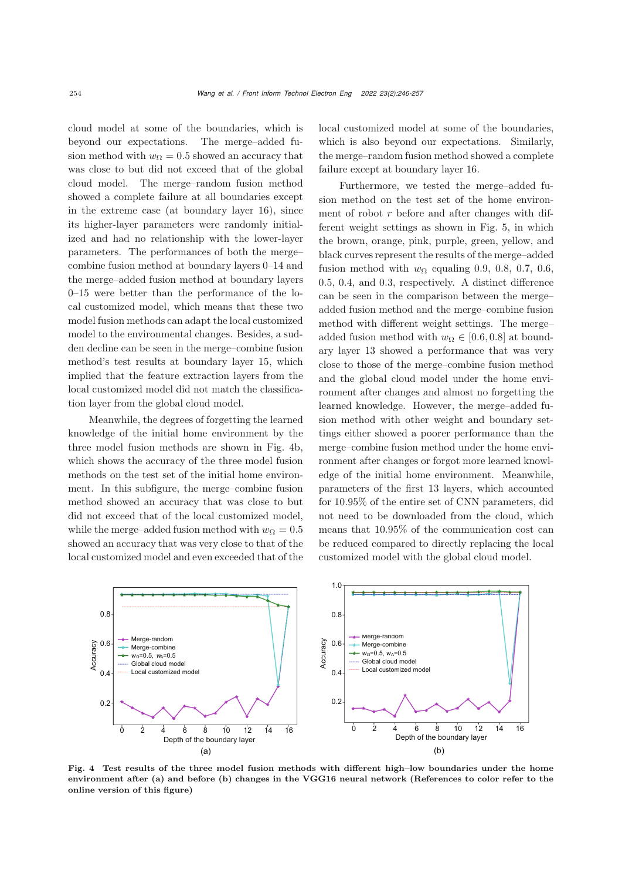cloud model at some of the boundaries, which is beyond our expectations. The merge–added fusion method with  $w<sub>O</sub> = 0.5$  showed an accuracy that was close to but did not exceed that of the global cloud model. The merge–random fusion method showed a complete failure at all boundaries except in the extreme case (at boundary layer 16), since its higher-layer parameters were randomly initialized and had no relationship with the lower-layer parameters. The performances of both the merge– combine fusion method at boundary layers 0–14 and the merge–added fusion method at boundary layers 0–15 were better than the performance of the local customized model, which means that these two model fusion methods can adapt the local customized model to the environmental changes. Besides, a sudden decline can be seen in the merge–combine fusion method's test results at boundary layer 15, which implied that the feature extraction layers from the local customized model did not match the classification layer from the global cloud model.

Meanwhile, the degrees of forgetting the learned knowledge of the initial home environment by the three model fusion methods are shown in Fig. 4b, which shows the accuracy of the three model fusion methods on the test set of the initial home environment. In this subfigure, the merge–combine fusion method showed an accuracy that was close to but did not exceed that of the local customized model, while the merge–added fusion method with  $w_{\Omega} = 0.5$ showed an accuracy that was very close to that of the local customized model and even exceeded that of the

local customized model at some of the boundaries, which is also beyond our expectations. Similarly, the merge–random fusion method showed a complete failure except at boundary layer 16.

Furthermore, we tested the merge–added fusion method on the test set of the home environment of robot  $r$  before and after changes with different weight settings as shown in Fig. 5, in which the brown, orange, pink, purple, green, yellow, and black curves represent the results of the merge–added fusion method with  $w_{\Omega}$  equaling 0.9, 0.8, 0.7, 0.6, 0.5, 0.4, and 0.3, respectively. A distinct difference can be seen in the comparison between the merge– added fusion method and the merge–combine fusion method with different weight settings. The merge– added fusion method with  $w_{\Omega} \in [0.6, 0.8]$  at boundary layer 13 showed a performance that was very close to those of the merge–combine fusion method and the global cloud model under the home environment after changes and almost no forgetting the learned knowledge. However, the merge–added fusion method with other weight and boundary settings either showed a poorer performance than the merge–combine fusion method under the home environment after changes or forgot more learned knowledge of the initial home environment. Meanwhile, parameters of the first 13 layers, which accounted for 10.95% of the entire set of CNN parameters, did not need to be downloaded from the cloud, which means that 10.95% of the communication cost can be reduced compared to directly replacing the local customized model with the global cloud model.



<span id="page-8-0"></span>Fig. 4 Test results of the three model fusion methods with different high–low boundaries under the home environment after (a) and before (b) changes in the VGG16 neural network (References to color refer to the online version of this figure)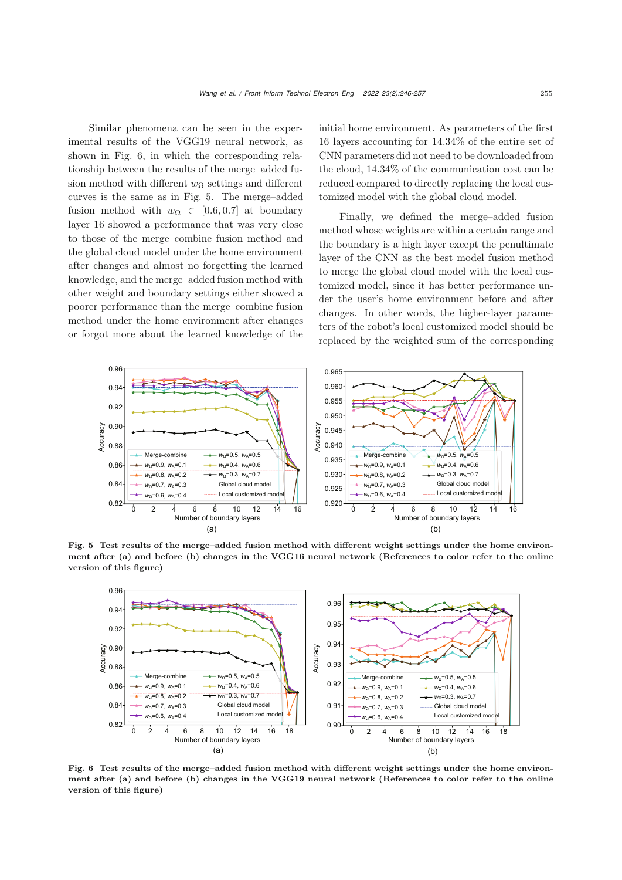Similar phenomena can be seen in the experimental results of the VGG19 neural network, as shown in Fig. [6,](#page-9-0) in which the corresponding relationship between the results of the merge–added fusion method with different  $w_{\Omega}$  settings and different curves is the same as in Fig. [5.](#page-9-1) The merge–added fusion method with  $w_{\Omega} \in [0.6, 0.7]$  at boundary layer 16 showed a performance that was very close to those of the merge–combine fusion method and the global cloud model under the home environment after changes and almost no forgetting the learned knowledge, and the merge–added fusion method with other weight and boundary settings either showed a poorer performance than the merge–combine fusion method under the home environment after changes or forgot more about the learned knowledge of the

initial home environment. As parameters of the first 16 layers accounting for 14.34% of the entire set of CNN parameters did not need to be downloaded from the cloud, 14.34% of the communication cost can be reduced compared to directly replacing the local customized model with the global cloud model.

Finally, we defined the merge–added fusion method whose weights are within a certain range and the boundary is a high layer except the penultimate layer of the CNN as the best model fusion method to merge the global cloud model with the local customized model, since it has better performance under the user's home environment before and after changes. In other words, the higher-layer parameters of the robot's local customized model should be replaced by the weighted sum of the corresponding



Fig. 5 Test results of the merge–added fusion method with different weight settings under the home environment after (a) and before (b) changes in the VGG16 neural network (References to color refer to the online version of this figure)

<span id="page-9-1"></span>

<span id="page-9-0"></span>Fig. 6 Test results of the merge–added fusion method with different weight settings under the home environment after (a) and before (b) changes in the VGG19 neural network (References to color refer to the online version of this figure)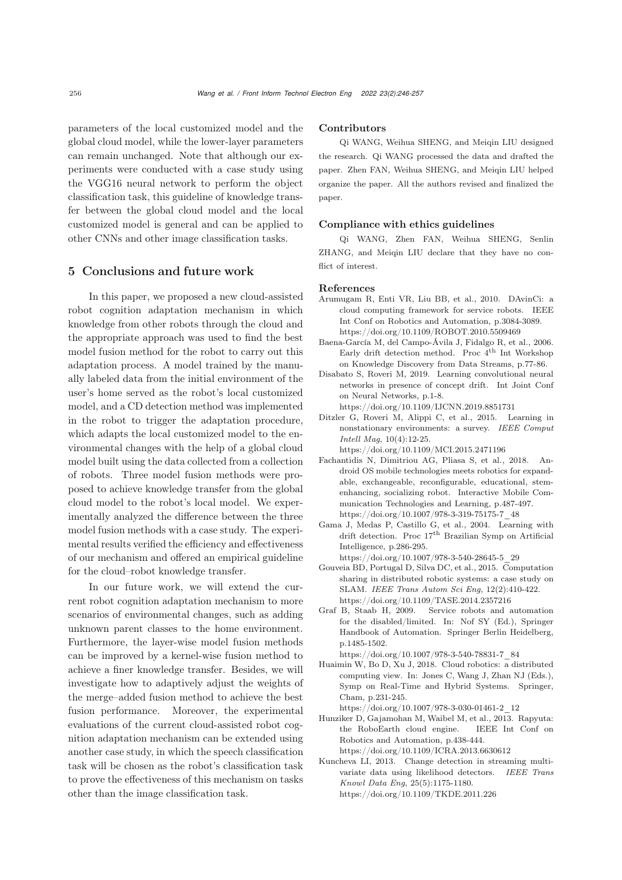parameters of the local customized model and the global cloud model, while the lower-layer parameters can remain unchanged. Note that although our experiments were conducted with a case study using the VGG16 neural network to perform the object classification task, this guideline of knowledge transfer between the global cloud model and the local customized model is general and can be applied to other CNNs and other image classification tasks.

# 5 Conclusions and future work

In this paper, we proposed a new cloud-assisted robot cognition adaptation mechanism in which knowledge from other robots through the cloud and the appropriate approach was used to find the best model fusion method for the robot to carry out this adaptation process. A model trained by the manually labeled data from the initial environment of the user's home served as the robot's local customized model, and a CD detection method was implemented in the robot to trigger the adaptation procedure, which adapts the local customized model to the environmental changes with the help of a global cloud model built using the data collected from a collection of robots. Three model fusion methods were proposed to achieve knowledge transfer from the global cloud model to the robot's local model. We experimentally analyzed the difference between the three model fusion methods with a case study. The experimental results verified the efficiency and effectiveness of our mechanism and offered an empirical guideline for the cloud–robot knowledge transfer.

In our future work, we will extend the current robot cognition adaptation mechanism to more scenarios of environmental changes, such as adding unknown parent classes to the home environment. Furthermore, the layer-wise model fusion methods can be improved by a kernel-wise fusion method to achieve a finer knowledge transfer. Besides, we will investigate how to adaptively adjust the weights of the merge–added fusion method to achieve the best fusion performance. Moreover, the experimental evaluations of the current cloud-assisted robot cognition adaptation mechanism can be extended using another case study, in which the speech classification task will be chosen as the robot's classification task to prove the effectiveness of this mechanism on tasks other than the image classification task.

#### Contributors

Qi WANG, Weihua SHENG, and Meiqin LIU designed the research. Qi WANG processed the data and drafted the paper. Zhen FAN, Weihua SHENG, and Meiqin LIU helped organize the paper. All the authors revised and finalized the paper.

### Compliance with ethics guidelines

Qi WANG, Zhen FAN, Weihua SHENG, Senlin ZHANG, and Meiqin LIU declare that they have no conflict of interest.

#### References

- <span id="page-10-6"></span>Arumugam R, Enti VR, Liu BB, et al., 2010. DAvinCi: a cloud computing framework for service robots. IEEE Int Conf on Robotics and Automation, p.3084-3089. https://doi.org/10.1109/ROBOT.2010.5509469
- <span id="page-10-9"></span>Baena-García M, del Campo-Ávila J, Fidalgo R, et al., 2006. Early drift detection method. Proc $4^{\text{th}}$  Int Workshop on Knowledge Discovery from Data Streams, p.77-86.
- Disabato S, Roveri M, 2019. Learning convolutional neural networks in presence of concept drift. Int Joint Conf on Neural Networks, p.1-8.

https://doi.org/10.1109/IJCNN.2019.8851731

<span id="page-10-2"></span>Ditzler G, Roveri M, Alippi C, et al., 2015. Learning in nonstationary environments: a survey. *IEEE Comput Intell Mag*, 10(4):12-25.

https://doi.org/10.1109/MCI.2015.2471196

- <span id="page-10-1"></span>Fachantidis N, Dimitriou AG, Pliasa S, et al., 2018. Android OS mobile technologies meets robotics for expandable, exchangeable, reconfigurable, educational, stemenhancing, socializing robot. Interactive Mobile Communication Technologies and Learning, p.487-497. https://doi.org/10.1007/978-3-319-75175-7\_48
- <span id="page-10-8"></span>Gama J, Medas P, Castillo G, et al., 2004. Learning with drift detection. Proc 17<sup>th</sup> Brazilian Symp on Artificial Intelligence, p.286-295.

https://doi.org/10.1007/978-3-540-28645-5\_29

- <span id="page-10-3"></span>Gouveia BD, Portugal D, Silva DC, et al., 2015. Computation sharing in distributed robotic systems: a case study on SLAM. *IEEE Trans Autom Sci Eng*, 12(2):410-422. https://doi.org/10.1109/TASE.2014.2357216
- <span id="page-10-0"></span>Graf B, Staab H, 2009. Service robots and automation for the disabled/limited. In: Nof SY (Ed.), Springer Handbook of Automation. Springer Berlin Heidelberg, p.1485-1502.

https://doi.org/10.1007/978-3-540-78831-7\_84

<span id="page-10-4"></span>Huaimin W, Bo D, Xu J, 2018. Cloud robotics: a distributed computing view. In: Jones C, Wang J, Zhan NJ (Eds.), Symp on Real-Time and Hybrid Systems. Springer, Cham, p.231-245.

https://doi.org/10.1007/978-3-030-01461-2\_12

- <span id="page-10-5"></span>Hunziker D, Gajamohan M, Waibel M, et al., 2013. Rapyuta: the RoboEarth cloud engine. IEEE Int Conf on Robotics and Automation, p.438-444. https://doi.org/10.1109/ICRA.2013.6630612
- <span id="page-10-7"></span>Kuncheva LI, 2013. Change detection in streaming multivariate data using likelihood detectors. *IEEE Trans Knowl Data Eng*, 25(5):1175-1180. https://doi.org/10.1109/TKDE.2011.226